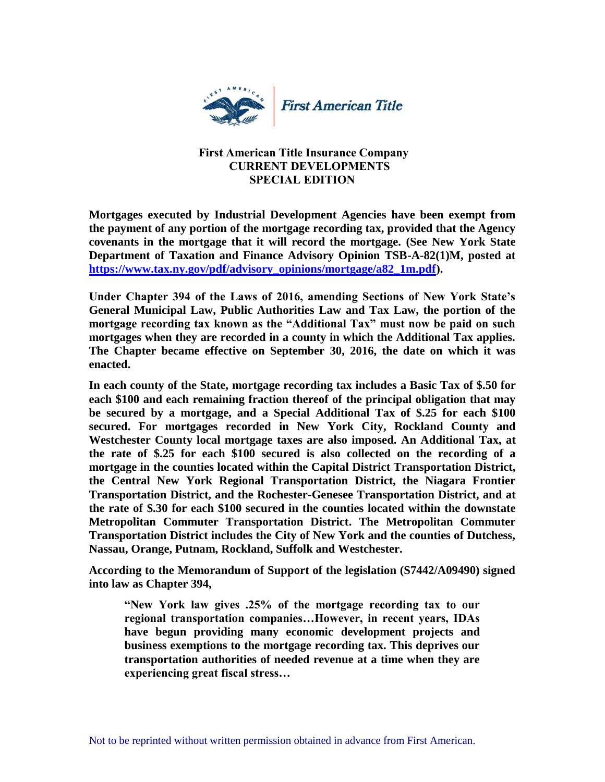

## **First American Title Insurance Company CURRENT DEVELOPMENTS SPECIAL EDITION**

**Mortgages executed by Industrial Development Agencies have been exempt from the payment of any portion of the mortgage recording tax, provided that the Agency covenants in the mortgage that it will record the mortgage. (See New York State Department of Taxation and Finance Advisory Opinion TSB-A-82(1)M, posted at [https://www.tax.ny.gov/pdf/advisory\\_opinions/mortgage/a82\\_1m.pdf\)](https://www.tax.ny.gov/pdf/advisory_opinions/mortgage/a82_1m.pdf).**

**Under Chapter 394 of the Laws of 2016, amending Sections of New York State's General Municipal Law, Public Authorities Law and Tax Law, the portion of the mortgage recording tax known as the "Additional Tax" must now be paid on such mortgages when they are recorded in a county in which the Additional Tax applies. The Chapter became effective on September 30, 2016, the date on which it was enacted.** 

**In each county of the State, mortgage recording tax includes a Basic Tax of \$.50 for each \$100 and each remaining fraction thereof of the principal obligation that may be secured by a mortgage, and a Special Additional Tax of \$.25 for each \$100 secured. For mortgages recorded in New York City, Rockland County and Westchester County local mortgage taxes are also imposed. An Additional Tax, at the rate of \$.25 for each \$100 secured is also collected on the recording of a mortgage in the counties located within the Capital District Transportation District, the Central New York Regional Transportation District, the Niagara Frontier Transportation District, and the Rochester-Genesee Transportation District, and at the rate of \$.30 for each \$100 secured in the counties located within the downstate Metropolitan Commuter Transportation District. The Metropolitan Commuter Transportation District includes the City of New York and the counties of Dutchess, Nassau, Orange, Putnam, Rockland, Suffolk and Westchester.** 

**According to the Memorandum of Support of the legislation (S7442/A09490) signed into law as Chapter 394,** 

**"New York law gives .25% of the mortgage recording tax to our regional transportation companies…However, in recent years, IDAs have begun providing many economic development projects and business exemptions to the mortgage recording tax. This deprives our transportation authorities of needed revenue at a time when they are experiencing great fiscal stress…**